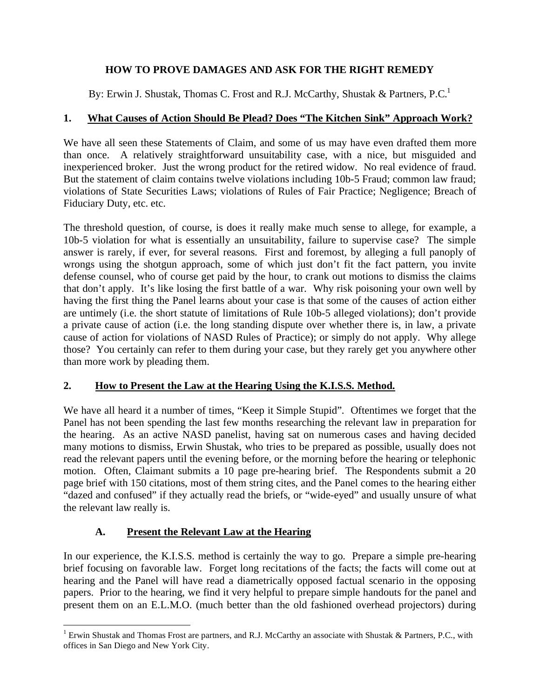# **HOW TO PROVE DAMAGES AND ASK FOR THE RIGHT REMEDY**

By: Erwin J. Shustak, Thomas C. Frost and R.J. McCarthy, Shustak & Partners, P.C.<sup>1</sup>

# **1. What Causes of Action Should Be Plead? Does "The Kitchen Sink" Approach Work?**

We have all seen these Statements of Claim, and some of us may have even drafted them more than once. A relatively straightforward unsuitability case, with a nice, but misguided and inexperienced broker. Just the wrong product for the retired widow. No real evidence of fraud. But the statement of claim contains twelve violations including 10b-5 Fraud; common law fraud; violations of State Securities Laws; violations of Rules of Fair Practice; Negligence; Breach of Fiduciary Duty, etc. etc.

The threshold question, of course, is does it really make much sense to allege, for example, a 10b-5 violation for what is essentially an unsuitability, failure to supervise case? The simple answer is rarely, if ever, for several reasons. First and foremost, by alleging a full panoply of wrongs using the shotgun approach, some of which just don't fit the fact pattern, you invite defense counsel, who of course get paid by the hour, to crank out motions to dismiss the claims that don't apply. It's like losing the first battle of a war. Why risk poisoning your own well by having the first thing the Panel learns about your case is that some of the causes of action either are untimely (i.e. the short statute of limitations of Rule 10b-5 alleged violations); don't provide a private cause of action (i.e. the long standing dispute over whether there is, in law, a private cause of action for violations of NASD Rules of Practice); or simply do not apply. Why allege those? You certainly can refer to them during your case, but they rarely get you anywhere other than more work by pleading them.

# **2. How to Present the Law at the Hearing Using the K.I.S.S. Method.**

We have all heard it a number of times, "Keep it Simple Stupid". Oftentimes we forget that the Panel has not been spending the last few months researching the relevant law in preparation for the hearing. As an active NASD panelist, having sat on numerous cases and having decided many motions to dismiss, Erwin Shustak, who tries to be prepared as possible, usually does not read the relevant papers until the evening before, or the morning before the hearing or telephonic motion. Often, Claimant submits a 10 page pre-hearing brief. The Respondents submit a 20 page brief with 150 citations, most of them string cites, and the Panel comes to the hearing either "dazed and confused" if they actually read the briefs, or "wide-eyed" and usually unsure of what the relevant law really is.

# **A. Present the Relevant Law at the Hearing**

In our experience, the K.I.S.S. method is certainly the way to go. Prepare a simple pre-hearing brief focusing on favorable law. Forget long recitations of the facts; the facts will come out at hearing and the Panel will have read a diametrically opposed factual scenario in the opposing papers. Prior to the hearing, we find it very helpful to prepare simple handouts for the panel and present them on an E.L.M.O. (much better than the old fashioned overhead projectors) during

<sup>&</sup>lt;sup>1</sup> Erwin Shustak and Thomas Frost are partners, and R.J. McCarthy an associate with Shustak & Partners, P.C., with offices in San Diego and New York City.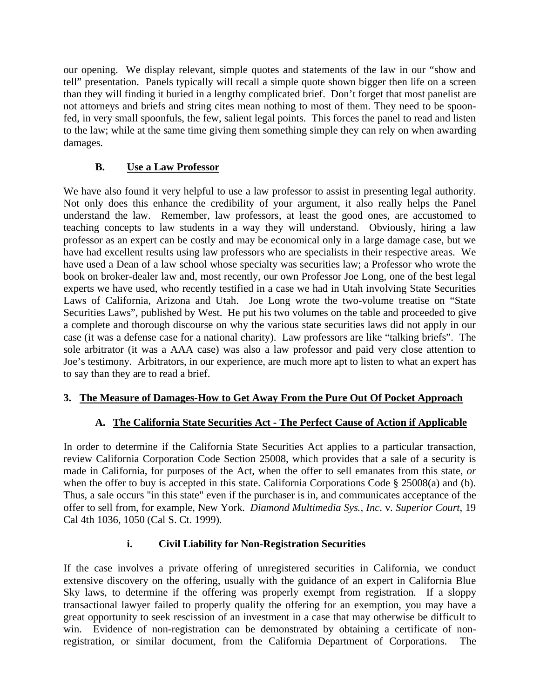our opening. We display relevant, simple quotes and statements of the law in our "show and tell" presentation. Panels typically will recall a simple quote shown bigger then life on a screen than they will finding it buried in a lengthy complicated brief. Don't forget that most panelist are not attorneys and briefs and string cites mean nothing to most of them. They need to be spoonfed, in very small spoonfuls, the few, salient legal points. This forces the panel to read and listen to the law; while at the same time giving them something simple they can rely on when awarding damages.

# **B. Use a Law Professor**

We have also found it very helpful to use a law professor to assist in presenting legal authority. Not only does this enhance the credibility of your argument, it also really helps the Panel understand the law. Remember, law professors, at least the good ones, are accustomed to teaching concepts to law students in a way they will understand. Obviously, hiring a law professor as an expert can be costly and may be economical only in a large damage case, but we have had excellent results using law professors who are specialists in their respective areas. We have used a Dean of a law school whose specialty was securities law; a Professor who wrote the book on broker-dealer law and, most recently, our own Professor Joe Long, one of the best legal experts we have used, who recently testified in a case we had in Utah involving State Securities Laws of California, Arizona and Utah. Joe Long wrote the two-volume treatise on "State Securities Laws", published by West. He put his two volumes on the table and proceeded to give a complete and thorough discourse on why the various state securities laws did not apply in our case (it was a defense case for a national charity). Law professors are like "talking briefs". The sole arbitrator (it was a AAA case) was also a law professor and paid very close attention to Joe's testimony. Arbitrators, in our experience, are much more apt to listen to what an expert has to say than they are to read a brief.

# **3. The Measure of Damages-How to Get Away From the Pure Out Of Pocket Approach**

# **A. The California State Securities Act - The Perfect Cause of Action if Applicable**

In order to determine if the California State Securities Act applies to a particular transaction, review California Corporation Code Section 25008, which provides that a sale of a security is made in California, for purposes of the Act, when the offer to sell emanates from this state, *or* when the offer to buy is accepted in this state. California Corporations Code § 25008(a) and (b). Thus, a sale occurs "in this state" even if the purchaser is in, and communicates acceptance of the offer to sell from, for example, New York. *Diamond Multimedia Sys., Inc*. v. *Superior Court*, 19 Cal 4th 1036, 1050 (Cal S. Ct. 1999).

# **i. Civil Liability for Non-Registration Securities**

If the case involves a private offering of unregistered securities in California, we conduct extensive discovery on the offering, usually with the guidance of an expert in California Blue Sky laws, to determine if the offering was properly exempt from registration. If a sloppy transactional lawyer failed to properly qualify the offering for an exemption, you may have a great opportunity to seek rescission of an investment in a case that may otherwise be difficult to win. Evidence of non-registration can be demonstrated by obtaining a certificate of nonregistration, or similar document, from the California Department of Corporations. The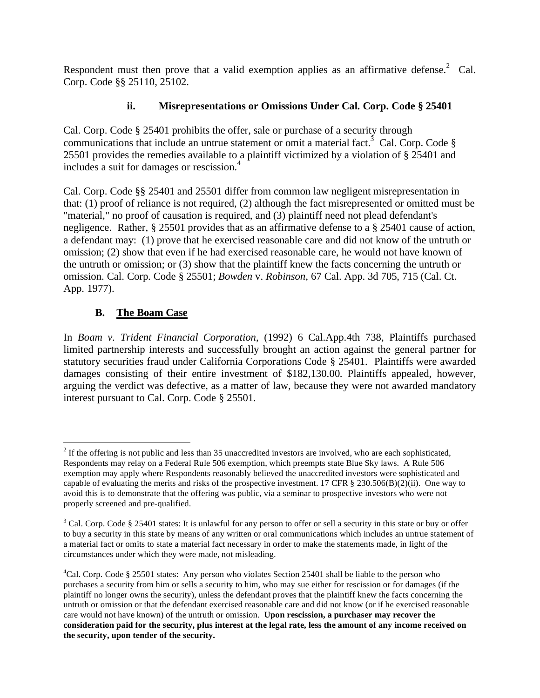Respondent must then prove that a valid exemption applies as an affirmative defense.<sup>2</sup> Cal. Corp. Code §§ 25110, 25102.

### **ii. Misrepresentations or Omissions Under Cal. Corp. Code § 25401**

Cal. Corp. Code § 25401 prohibits the offer, sale or purchase of a security through communications that include an untrue statement or omit a material fact.<sup>3</sup> Cal. Corp. Code § 25501 provides the remedies available to a plaintiff victimized by a violation of § 25401 and includes a suit for damages or rescission.<sup>4</sup>

Cal. Corp. Code §§ 25401 and 25501 differ from common law negligent misrepresentation in that: (1) proof of reliance is not required, (2) although the fact misrepresented or omitted must be "material," no proof of causation is required, and (3) plaintiff need not plead defendant's negligence. Rather, § 25501 provides that as an affirmative defense to a § 25401 cause of action, a defendant may: (1) prove that he exercised reasonable care and did not know of the untruth or omission; (2) show that even if he had exercised reasonable care, he would not have known of the untruth or omission; or (3) show that the plaintiff knew the facts concerning the untruth or omission. Cal. Corp. Code § 25501; *Bowden* v. *Robinson*, 67 Cal. App. 3d 705, 715 (Cal. Ct. App. 1977).

## **B. The Boam Case**

In *Boam v. Trident Financial Corporation*, (1992) 6 Cal.App.4th 738, Plaintiffs purchased limited partnership interests and successfully brought an action against the general partner for statutory securities fraud under California Corporations Code § 25401. Plaintiffs were awarded damages consisting of their entire investment of \$182,130.00. Plaintiffs appealed, however, arguing the verdict was defective, as a matter of law, because they were not awarded mandatory interest pursuant to Cal. Corp. Code § 25501.

<sup>1</sup>  $2<sup>2</sup>$  If the offering is not public and less than 35 unaccredited investors are involved, who are each sophisticated, Respondents may relay on a Federal Rule 506 exemption, which preempts state Blue Sky laws. A Rule 506 exemption may apply where Respondents reasonably believed the unaccredited investors were sophisticated and capable of evaluating the merits and risks of the prospective investment. 17 CFR § 230.506(B)(2)(ii). One way to avoid this is to demonstrate that the offering was public, via a seminar to prospective investors who were not properly screened and pre-qualified.

 $3$  Cal. Corp. Code § 25401 states: It is unlawful for any person to offer or sell a security in this state or buy or offer to buy a security in this state by means of any written or oral communications which includes an untrue statement of a material fact or omits to state a material fact necessary in order to make the statements made, in light of the circumstances under which they were made, not misleading.

<sup>&</sup>lt;sup>4</sup>Cal. Corp. Code § 25501 states: Any person who violates Section 25401 shall be liable to the person who purchases a security from him or sells a security to him, who may sue either for rescission or for damages (if the plaintiff no longer owns the security), unless the defendant proves that the plaintiff knew the facts concerning the untruth or omission or that the defendant exercised reasonable care and did not know (or if he exercised reasonable care would not have known) of the untruth or omission. **Upon rescission, a purchaser may recover the consideration paid for the security, plus interest at the legal rate, less the amount of any income received on the security, upon tender of the security.**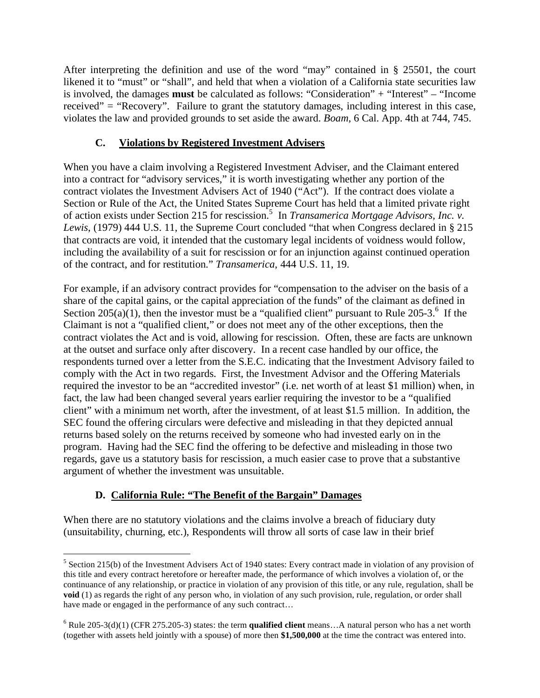After interpreting the definition and use of the word "may" contained in § 25501, the court likened it to "must" or "shall", and held that when a violation of a California state securities law is involved, the damages **must** be calculated as follows: "Consideration" + "Interest" – "Income received" = "Recovery". Failure to grant the statutory damages, including interest in this case, violates the law and provided grounds to set aside the award. *Boam*, 6 Cal. App. 4th at 744, 745.

# **C. Violations by Registered Investment Advisers**

When you have a claim involving a Registered Investment Adviser, and the Claimant entered into a contract for "advisory services," it is worth investigating whether any portion of the contract violates the Investment Advisers Act of 1940 ("Act"). If the contract does violate a Section or Rule of the Act, the United States Supreme Court has held that a limited private right of action exists under Section 215 for rescission.<sup>5</sup> In *Transamerica Mortgage Advisors, Inc. v. Lewis*, (1979) 444 U.S. 11, the Supreme Court concluded "that when Congress declared in § 215 that contracts are void, it intended that the customary legal incidents of voidness would follow, including the availability of a suit for rescission or for an injunction against continued operation of the contract, and for restitution." *Transamerica*, 444 U.S. 11, 19.

For example, if an advisory contract provides for "compensation to the adviser on the basis of a share of the capital gains, or the capital appreciation of the funds" of the claimant as defined in Section  $205(a)(1)$ , then the investor must be a "qualified client" pursuant to Rule 205-3.<sup>6</sup> If the Claimant is not a "qualified client," or does not meet any of the other exceptions, then the contract violates the Act and is void, allowing for rescission. Often, these are facts are unknown at the outset and surface only after discovery. In a recent case handled by our office, the respondents turned over a letter from the S.E.C. indicating that the Investment Advisory failed to comply with the Act in two regards. First, the Investment Advisor and the Offering Materials required the investor to be an "accredited investor" (i.e. net worth of at least \$1 million) when, in fact, the law had been changed several years earlier requiring the investor to be a "qualified client" with a minimum net worth, after the investment, of at least \$1.5 million. In addition, the SEC found the offering circulars were defective and misleading in that they depicted annual returns based solely on the returns received by someone who had invested early on in the program. Having had the SEC find the offering to be defective and misleading in those two regards, gave us a statutory basis for rescission, a much easier case to prove that a substantive argument of whether the investment was unsuitable.

# **D. California Rule: "The Benefit of the Bargain" Damages**

 $\overline{a}$ 

When there are no statutory violations and the claims involve a breach of fiduciary duty (unsuitability, churning, etc.), Respondents will throw all sorts of case law in their brief

 $<sup>5</sup>$  Section 215(b) of the Investment Advisers Act of 1940 states: Every contract made in violation of any provision of</sup> this title and every contract heretofore or hereafter made, the performance of which involves a violation of, or the continuance of any relationship, or practice in violation of any provision of this title, or any rule, regulation, shall be **void** (1) as regards the right of any person who, in violation of any such provision, rule, regulation, or order shall have made or engaged in the performance of any such contract...

<sup>6</sup> Rule 205-3(d)(1) (CFR 275.205-3) states: the term **qualified client** means…A natural person who has a net worth (together with assets held jointly with a spouse) of more then **\$1,500,000** at the time the contract was entered into.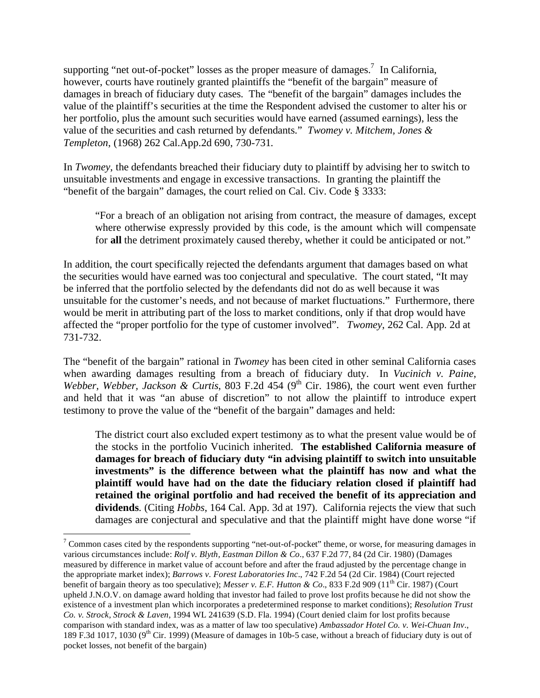supporting "net out-of-pocket" losses as the proper measure of damages.<sup>7</sup> In California, however, courts have routinely granted plaintiffs the "benefit of the bargain" measure of damages in breach of fiduciary duty cases. The "benefit of the bargain" damages includes the value of the plaintiff's securities at the time the Respondent advised the customer to alter his or her portfolio, plus the amount such securities would have earned (assumed earnings), less the value of the securities and cash returned by defendants." *Twomey v. Mitchem, Jones & Templeton*, (1968) 262 Cal.App.2d 690, 730-731.

In *Twomey*, the defendants breached their fiduciary duty to plaintiff by advising her to switch to unsuitable investments and engage in excessive transactions. In granting the plaintiff the "benefit of the bargain" damages, the court relied on Cal. Civ. Code § 3333:

"For a breach of an obligation not arising from contract, the measure of damages, except where otherwise expressly provided by this code, is the amount which will compensate for **all** the detriment proximately caused thereby, whether it could be anticipated or not."

In addition, the court specifically rejected the defendants argument that damages based on what the securities would have earned was too conjectural and speculative. The court stated, "It may be inferred that the portfolio selected by the defendants did not do as well because it was unsuitable for the customer's needs, and not because of market fluctuations." Furthermore, there would be merit in attributing part of the loss to market conditions, only if that drop would have affected the "proper portfolio for the type of customer involved". *Twomey*, 262 Cal. App. 2d at 731-732.

The "benefit of the bargain" rational in *Twomey* has been cited in other seminal California cases when awarding damages resulting from a breach of fiduciary duty. In *Vucinich v. Paine, Webber, Webber, Jackson & Curtis, 803 F.2d 454 (9<sup>th</sup> Cir. 1986), the court went even further* and held that it was "an abuse of discretion" to not allow the plaintiff to introduce expert testimony to prove the value of the "benefit of the bargain" damages and held:

The district court also excluded expert testimony as to what the present value would be of the stocks in the portfolio Vucinich inherited. **The established California measure of damages for breach of fiduciary duty "in advising plaintiff to switch into unsuitable investments" is the difference between what the plaintiff has now and what the plaintiff would have had on the date the fiduciary relation closed if plaintiff had retained the original portfolio and had received the benefit of its appreciation and dividends**. (Citing *Hobbs*, 164 Cal. App. 3d at 197). California rejects the view that such damages are conjectural and speculative and that the plaintiff might have done worse "if

 $\overline{a}$ 

<sup>&</sup>lt;sup>7</sup> Common cases cited by the respondents supporting "net-out-of-pocket" theme, or worse, for measuring damages in various circumstances include: *Rolf v. Blyth, Eastman Dillon & Co*., 637 F.2d 77, 84 (2d Cir. 1980) (Damages measured by difference in market value of account before and after the fraud adjusted by the percentage change in the appropriate market index); *Barrows v. Forest Laboratories Inc*., 742 F.2d 54 (2d Cir. 1984) (Court rejected benefit of bargain theory as too speculative); *Messer v. E.F. Hutton & Co.*, 833 F.2d 909 (11<sup>th</sup> Cir. 1987) (Court upheld J.N.O.V. on damage award holding that investor had failed to prove lost profits because he did not show the existence of a investment plan which incorporates a predetermined response to market conditions); *Resolution Trust Co. v. Strock, Strock & Laven*, 1994 WL 241639 (S.D. Fla. 1994) (Court denied claim for lost profits because comparison with standard index, was as a matter of law too speculative) *Ambassador Hotel Co. v. Wei-Chuan Inv*., 189 F.3d 1017, 1030 (9<sup>th</sup> Cir. 1999) (Measure of damages in 10b-5 case, without a breach of fiduciary duty is out of pocket losses, not benefit of the bargain)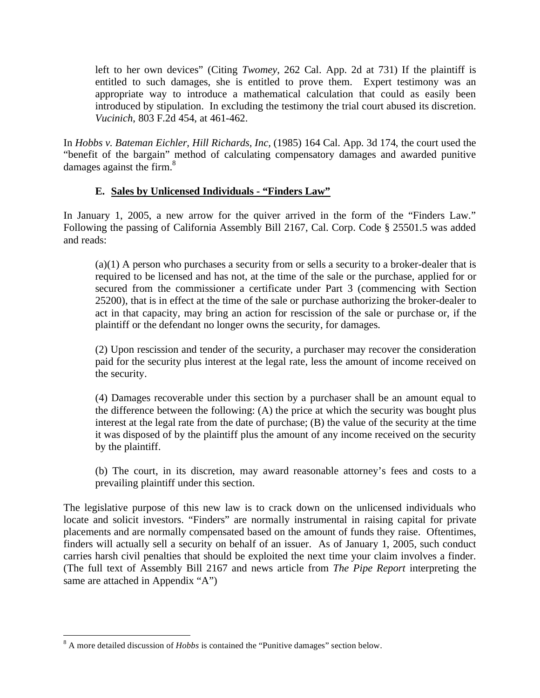left to her own devices" (Citing *Twomey*, 262 Cal. App. 2d at 731) If the plaintiff is entitled to such damages, she is entitled to prove them. Expert testimony was an appropriate way to introduce a mathematical calculation that could as easily been introduced by stipulation. In excluding the testimony the trial court abused its discretion. *Vucinich*, 803 F.2d 454, at 461-462.

In *Hobbs v. Bateman Eichler, Hill Richards, Inc,* (1985) 164 Cal. App. 3d 174, the court used the "benefit of the bargain" method of calculating compensatory damages and awarded punitive damages against the firm.<sup>8</sup>

# **E. Sales by Unlicensed Individuals - "Finders Law"**

In January 1, 2005, a new arrow for the quiver arrived in the form of the "Finders Law." Following the passing of California Assembly Bill 2167, Cal. Corp. Code § 25501.5 was added and reads:

 $(a)(1)$  A person who purchases a security from or sells a security to a broker-dealer that is required to be licensed and has not, at the time of the sale or the purchase, applied for or secured from the commissioner a certificate under Part 3 (commencing with Section 25200), that is in effect at the time of the sale or purchase authorizing the broker-dealer to act in that capacity, may bring an action for rescission of the sale or purchase or, if the plaintiff or the defendant no longer owns the security, for damages.

(2) Upon rescission and tender of the security, a purchaser may recover the consideration paid for the security plus interest at the legal rate, less the amount of income received on the security.

(4) Damages recoverable under this section by a purchaser shall be an amount equal to the difference between the following: (A) the price at which the security was bought plus interest at the legal rate from the date of purchase; (B) the value of the security at the time it was disposed of by the plaintiff plus the amount of any income received on the security by the plaintiff.

(b) The court, in its discretion, may award reasonable attorney's fees and costs to a prevailing plaintiff under this section.

The legislative purpose of this new law is to crack down on the unlicensed individuals who locate and solicit investors. "Finders" are normally instrumental in raising capital for private placements and are normally compensated based on the amount of funds they raise. Oftentimes, finders will actually sell a security on behalf of an issuer. As of January 1, 2005, such conduct carries harsh civil penalties that should be exploited the next time your claim involves a finder. (The full text of Assembly Bill 2167 and news article from *The Pipe Report* interpreting the same are attached in Appendix "A")

 $\overline{a}$ <sup>8</sup> A more detailed discussion of *Hobbs* is contained the "Punitive damages" section below.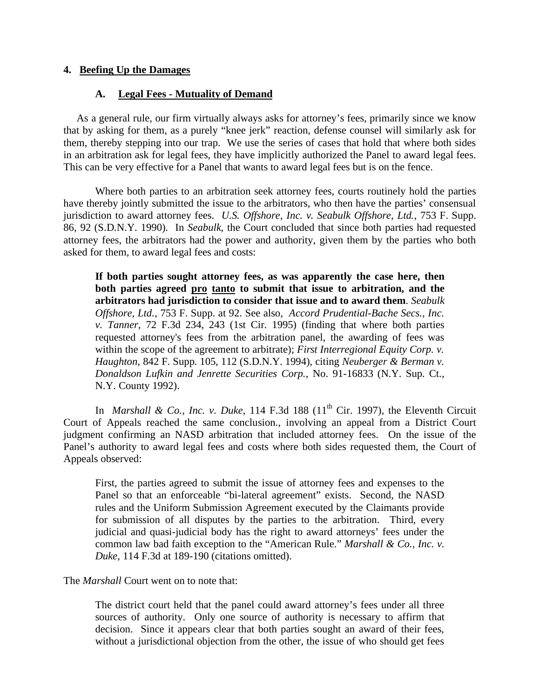#### **4. Beefing Up the Damages**

#### **A. Legal Fees - Mutuality of Demand**

 As a general rule, our firm virtually always asks for attorney's fees, primarily since we know that by asking for them, as a purely "knee jerk" reaction, defense counsel will similarly ask for them, thereby stepping into our trap. We use the series of cases that hold that where both sides in an arbitration ask for legal fees, they have implicitly authorized the Panel to award legal fees. This can be very effective for a Panel that wants to award legal fees but is on the fence.

 Where both parties to an arbitration seek attorney fees, courts routinely hold the parties have thereby jointly submitted the issue to the arbitrators, who then have the parties' consensual jurisdiction to award attorney fees. *U.S. Offshore, Inc. v. Seabulk Offshore, Ltd.*, 753 F. Supp. 86, 92 (S.D.N.Y. 1990). In *Seabulk*, the Court concluded that since both parties had requested attorney fees, the arbitrators had the power and authority, given them by the parties who both asked for them, to award legal fees and costs:

**If both parties sought attorney fees, as was apparently the case here, then both parties agreed pro tanto to submit that issue to arbitration, and the arbitrators had jurisdiction to consider that issue and to award them**. *Seabulk Offshore, Ltd.*, 753 F. Supp. at 92. See also, *Accord Prudential-Bache Secs., Inc. v. Tanner*, 72 F.3d 234, 243 (1st Cir. 1995) (finding that where both parties requested attorney's fees from the arbitration panel, the awarding of fees was within the scope of the agreement to arbitrate); *First Interregional Equity Corp. v. Haughton,* 842 F. Supp. 105, 112 (S.D.N.Y. 1994), citing *Neuberger & Berman v. Donaldson Lufkin and Jenrette Securities Corp.*, No. 91-16833 (N.Y. Sup. Ct., N.Y. County 1992).

In *Marshall & Co., Inc. v. Duke*, 114 F.3d 188  $(11<sup>th</sup> Cir. 1997)$ , the Eleventh Circuit Court of Appeals reached the same conclusion., involving an appeal from a District Court judgment confirming an NASD arbitration that included attorney fees. On the issue of the Panel's authority to award legal fees and costs where both sides requested them, the Court of Appeals observed:

First, the parties agreed to submit the issue of attorney fees and expenses to the Panel so that an enforceable "bi-lateral agreement" exists. Second, the NASD rules and the Uniform Submission Agreement executed by the Claimants provide for submission of all disputes by the parties to the arbitration. Third, every judicial and quasi-judicial body has the right to award attorneys' fees under the common law bad faith exception to the "American Rule." *Marshall & Co., Inc. v. Duke*, 114 F.3d at 189-190 (citations omitted).

The *Marshall* Court went on to note that:

The district court held that the panel could award attorney's fees under all three sources of authority. Only one source of authority is necessary to affirm that decision. Since it appears clear that both parties sought an award of their fees, without a jurisdictional objection from the other, the issue of who should get fees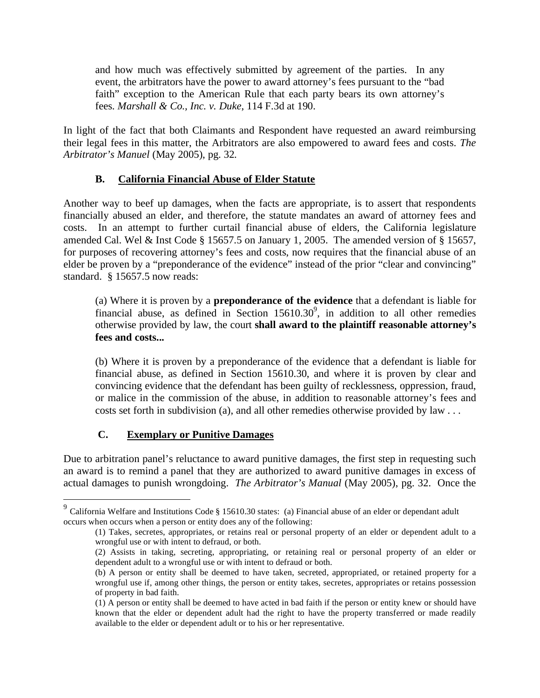and how much was effectively submitted by agreement of the parties. In any event, the arbitrators have the power to award attorney's fees pursuant to the "bad faith" exception to the American Rule that each party bears its own attorney's fees. *Marshall & Co., Inc. v. Duke*, 114 F.3d at 190.

In light of the fact that both Claimants and Respondent have requested an award reimbursing their legal fees in this matter, the Arbitrators are also empowered to award fees and costs. *The Arbitrator's Manuel* (May 2005), pg. 32.

### **B. California Financial Abuse of Elder Statute**

Another way to beef up damages, when the facts are appropriate, is to assert that respondents financially abused an elder, and therefore, the statute mandates an award of attorney fees and costs. In an attempt to further curtail financial abuse of elders, the California legislature amended Cal. Wel & Inst Code § 15657.5 on January 1, 2005. The amended version of § 15657, for purposes of recovering attorney's fees and costs, now requires that the financial abuse of an elder be proven by a "preponderance of the evidence" instead of the prior "clear and convincing" standard. § 15657.5 now reads:

(a) Where it is proven by a **preponderance of the evidence** that a defendant is liable for financial abuse, as defined in Section  $15610.30^9$ , in addition to all other remedies otherwise provided by law, the court **shall award to the plaintiff reasonable attorney's fees and costs...** 

(b) Where it is proven by a preponderance of the evidence that a defendant is liable for financial abuse, as defined in Section 15610.30, and where it is proven by clear and convincing evidence that the defendant has been guilty of recklessness, oppression, fraud, or malice in the commission of the abuse, in addition to reasonable attorney's fees and costs set forth in subdivision (a), and all other remedies otherwise provided by law . . .

#### **C. Exemplary or Punitive Damages**

 $\overline{a}$ 

Due to arbitration panel's reluctance to award punitive damages, the first step in requesting such an award is to remind a panel that they are authorized to award punitive damages in excess of actual damages to punish wrongdoing. *The Arbitrator's Manual* (May 2005), pg. 32. Once the

 $9$  California Welfare and Institutions Code § 15610.30 states: (a) Financial abuse of an elder or dependant adult occurs when occurs when a person or entity does any of the following:

<sup>(1)</sup> Takes, secretes, appropriates, or retains real or personal property of an elder or dependent adult to a wrongful use or with intent to defraud, or both.

<sup>(2)</sup> Assists in taking, secreting, appropriating, or retaining real or personal property of an elder or dependent adult to a wrongful use or with intent to defraud or both.

<sup>(</sup>b) A person or entity shall be deemed to have taken, secreted, appropriated, or retained property for a wrongful use if, among other things, the person or entity takes, secretes, appropriates or retains possession of property in bad faith.

<sup>(1)</sup> A person or entity shall be deemed to have acted in bad faith if the person or entity knew or should have known that the elder or dependent adult had the right to have the property transferred or made readily available to the elder or dependent adult or to his or her representative.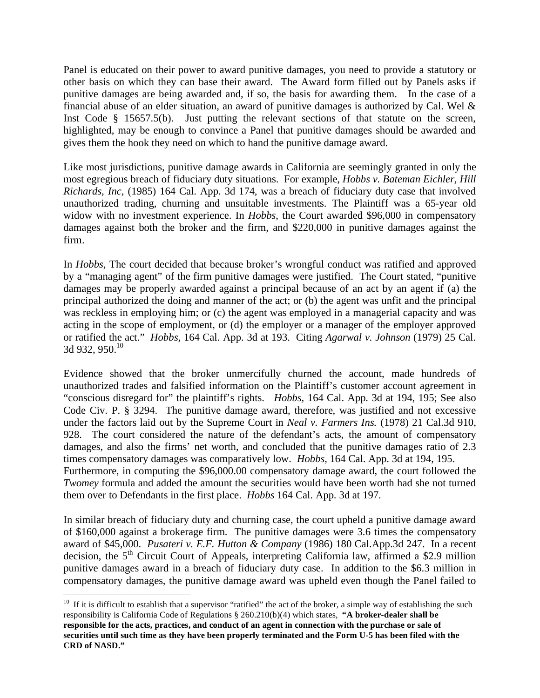Panel is educated on their power to award punitive damages, you need to provide a statutory or other basis on which they can base their award. The Award form filled out by Panels asks if punitive damages are being awarded and, if so, the basis for awarding them. In the case of a financial abuse of an elder situation, an award of punitive damages is authorized by Cal. Wel & Inst Code § 15657.5(b). Just putting the relevant sections of that statute on the screen, highlighted, may be enough to convince a Panel that punitive damages should be awarded and gives them the hook they need on which to hand the punitive damage award.

Like most jurisdictions, punitive damage awards in California are seemingly granted in only the most egregious breach of fiduciary duty situations. For example, *Hobbs v. Bateman Eichler, Hill Richards, Inc,* (1985) 164 Cal. App. 3d 174*,* was a breach of fiduciary duty case that involved unauthorized trading, churning and unsuitable investments. The Plaintiff was a 65-year old widow with no investment experience. In *Hobbs*, the Court awarded \$96,000 in compensatory damages against both the broker and the firm, and \$220,000 in punitive damages against the firm.

In *Hobbs*, The court decided that because broker's wrongful conduct was ratified and approved by a "managing agent" of the firm punitive damages were justified. The Court stated, "punitive damages may be properly awarded against a principal because of an act by an agent if (a) the principal authorized the doing and manner of the act; or (b) the agent was unfit and the principal was reckless in employing him; or (c) the agent was employed in a managerial capacity and was acting in the scope of employment, or (d) the employer or a manager of the employer approved or ratified the act." *Hobbs,* 164 Cal. App. 3d at 193. Citing *Agarwal v. Johnson* (1979) 25 Cal. 3d 932, 950.<sup>10</sup>

Evidence showed that the broker unmercifully churned the account, made hundreds of unauthorized trades and falsified information on the Plaintiff's customer account agreement in "conscious disregard for" the plaintiff's rights. *Hobbs,* 164 Cal. App. 3d at 194, 195; See also Code Civ. P. § 3294. The punitive damage award, therefore, was justified and not excessive under the factors laid out by the Supreme Court in *Neal v. Farmers Ins.* (1978) 21 Cal.3d 910, 928. The court considered the nature of the defendant's acts, the amount of compensatory damages, and also the firms' net worth, and concluded that the punitive damages ratio of 2.3 times compensatory damages was comparatively low. *Hobbs,* 164 Cal. App. 3d at 194, 195. Furthermore, in computing the \$96,000.00 compensatory damage award, the court followed the *Twomey* formula and added the amount the securities would have been worth had she not turned them over to Defendants in the first place. *Hobbs* 164 Cal. App. 3d at 197.

In similar breach of fiduciary duty and churning case, the court upheld a punitive damage award of \$160,000 against a brokerage firm. The punitive damages were 3.6 times the compensatory award of \$45,000. *Pusateri v. E.F. Hutton & Company* (1986) 180 Cal.App.3d 247. In a recent decision, the 5<sup>th</sup> Circuit Court of Appeals, interpreting California law, affirmed a \$2.9 million punitive damages award in a breach of fiduciary duty case. In addition to the \$6.3 million in compensatory damages, the punitive damage award was upheld even though the Panel failed to

<sup>1</sup>  $10$  If it is difficult to establish that a supervisor "ratified" the act of the broker, a simple way of establishing the such responsibility is California Code of Regulations § 260.210(b)(4) which states, **"A broker-dealer shall be responsible for the acts, practices, and conduct of an agent in connection with the purchase or sale of securities until such time as they have been properly terminated and the Form U-5 has been filed with the CRD of NASD."**